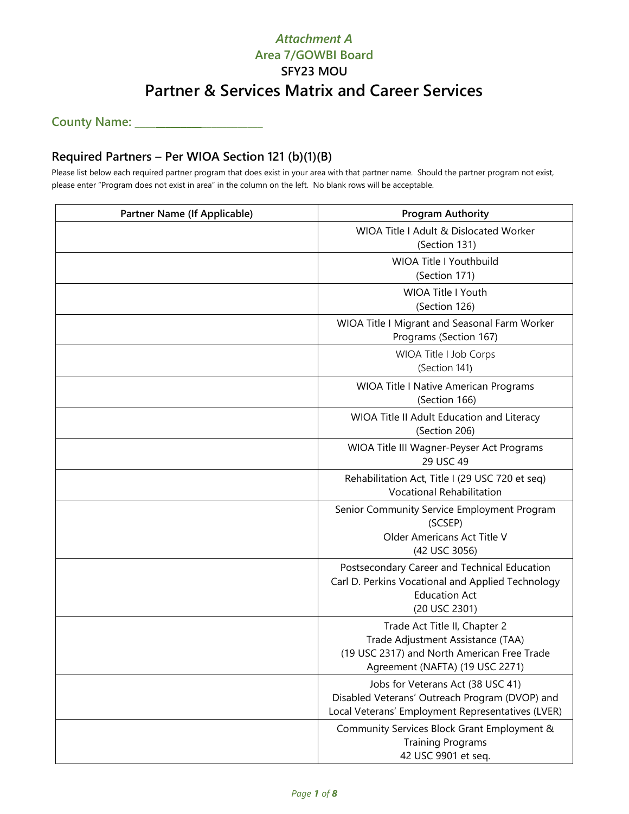**County Name: \_\_\_\_\_\_\_\_\_\_\_\_\_\_\_\_\_\_\_\_\_\_\_\_\_**

### **Required Partners – Per WIOA Section 121 (b)(1)(B)**

Please list below each required partner program that does exist in your area with that partner name. Should the partner program not exist, please enter "Program does not exist in area" in the column on the left. No blank rows will be acceptable.

| <b>Partner Name (If Applicable)</b> | <b>Program Authority</b>                                                                                                                             |  |  |  |
|-------------------------------------|------------------------------------------------------------------------------------------------------------------------------------------------------|--|--|--|
|                                     | WIOA Title I Adult & Dislocated Worker<br>(Section 131)                                                                                              |  |  |  |
|                                     | <b>WIOA Title I Youthbuild</b><br>(Section 171)                                                                                                      |  |  |  |
|                                     | <b>WIOA Title I Youth</b><br>(Section 126)                                                                                                           |  |  |  |
|                                     | WIOA Title I Migrant and Seasonal Farm Worker<br>Programs (Section 167)                                                                              |  |  |  |
|                                     | WIOA Title I Job Corps<br>(Section 141)                                                                                                              |  |  |  |
|                                     | <b>WIOA Title I Native American Programs</b><br>(Section 166)                                                                                        |  |  |  |
|                                     | WIOA Title II Adult Education and Literacy<br>(Section 206)                                                                                          |  |  |  |
|                                     | WIOA Title III Wagner-Peyser Act Programs<br>29 USC 49                                                                                               |  |  |  |
|                                     | Rehabilitation Act, Title I (29 USC 720 et seq)<br>Vocational Rehabilitation                                                                         |  |  |  |
|                                     | Senior Community Service Employment Program<br>(SCSEP)<br>Older Americans Act Title V<br>(42 USC 3056)                                               |  |  |  |
|                                     | Postsecondary Career and Technical Education<br>Carl D. Perkins Vocational and Applied Technology<br><b>Education Act</b><br>(20 USC 2301)           |  |  |  |
|                                     | Trade Act Title II, Chapter 2<br>Trade Adjustment Assistance (TAA)<br>(19 USC 2317) and North American Free Trade<br>Agreement (NAFTA) (19 USC 2271) |  |  |  |
|                                     | Jobs for Veterans Act (38 USC 41)<br>Disabled Veterans' Outreach Program (DVOP) and<br>Local Veterans' Employment Representatives (LVER)             |  |  |  |
|                                     | Community Services Block Grant Employment &<br><b>Training Programs</b><br>42 USC 9901 et seq.                                                       |  |  |  |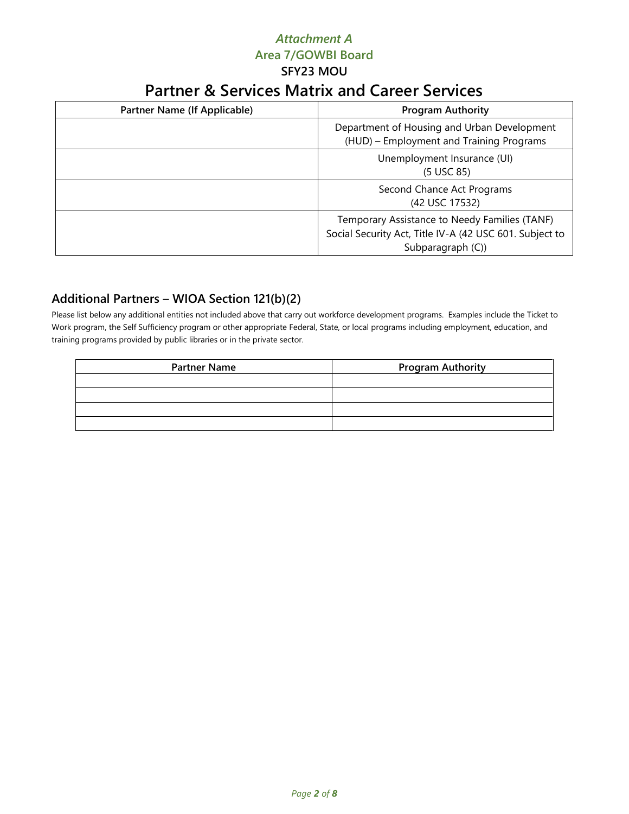## *Attachment A* **Area 7/GOWBI Board SFY23 MOU**

# **Partner & Services Matrix and Career Services**

| Partner Name (If Applicable) | <b>Program Authority</b>                                                                                                      |  |  |
|------------------------------|-------------------------------------------------------------------------------------------------------------------------------|--|--|
|                              | Department of Housing and Urban Development<br>(HUD) - Employment and Training Programs                                       |  |  |
|                              | Unemployment Insurance (UI)<br>(5 USC 85)                                                                                     |  |  |
|                              | Second Chance Act Programs<br>(42 USC 17532)                                                                                  |  |  |
|                              | Temporary Assistance to Needy Families (TANF)<br>Social Security Act, Title IV-A (42 USC 601. Subject to<br>Subparagraph (C)) |  |  |

### **Additional Partners – WIOA Section 121(b)(2)**

Please list below any additional entities not included above that carry out workforce development programs. Examples include the Ticket to Work program, the Self Sufficiency program or other appropriate Federal, State, or local programs including employment, education, and training programs provided by public libraries or in the private sector.

| <b>Partner Name</b> | <b>Program Authority</b> |
|---------------------|--------------------------|
|                     |                          |
|                     |                          |
|                     |                          |
|                     |                          |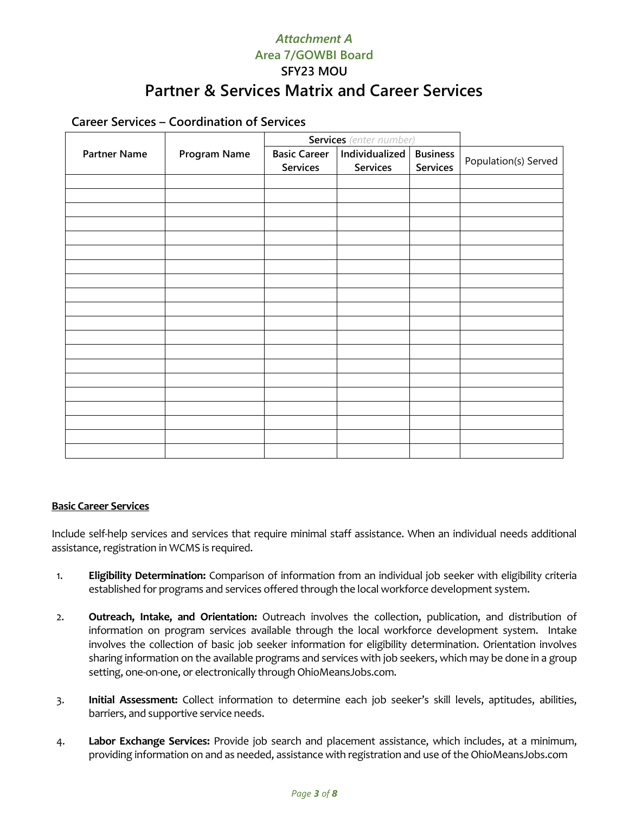#### **Career Services – Coordination of Services**

|                     |              | <b>Services</b> (enter number)  |                            |                                    |                      |
|---------------------|--------------|---------------------------------|----------------------------|------------------------------------|----------------------|
| <b>Partner Name</b> | Program Name | <b>Basic Career</b><br>Services | Individualized<br>Services | <b>Business</b><br><b>Services</b> | Population(s) Served |
|                     |              |                                 |                            |                                    |                      |
|                     |              |                                 |                            |                                    |                      |
|                     |              |                                 |                            |                                    |                      |
|                     |              |                                 |                            |                                    |                      |
|                     |              |                                 |                            |                                    |                      |
|                     |              |                                 |                            |                                    |                      |
|                     |              |                                 |                            |                                    |                      |
|                     |              |                                 |                            |                                    |                      |
|                     |              |                                 |                            |                                    |                      |
|                     |              |                                 |                            |                                    |                      |
|                     |              |                                 |                            |                                    |                      |
|                     |              |                                 |                            |                                    |                      |
|                     |              |                                 |                            |                                    |                      |
|                     |              |                                 |                            |                                    |                      |
|                     |              |                                 |                            |                                    |                      |
|                     |              |                                 |                            |                                    |                      |
|                     |              |                                 |                            |                                    |                      |
|                     |              |                                 |                            |                                    |                      |
|                     |              |                                 |                            |                                    |                      |
|                     |              |                                 |                            |                                    |                      |

#### **Basic Career Services**

Include self-help services and services that require minimal staff assistance. When an individual needs additional assistance, registration in WCMS is required.

- 1. **Eligibility Determination:** Comparison of information from an individual job seeker with eligibility criteria established for programs and services offered through the local workforce development system.
- 2. **Outreach, Intake, and Orientation:** Outreach involves the collection, publication, and distribution of information on program services available through the local workforce development system. Intake involves the collection of basic job seeker information for eligibility determination. Orientation involves sharing information on the available programs and services with job seekers, which may be done in a group setting, one-on-one, or electronically through OhioMeansJobs.com.
- 3. **Initial Assessment:** Collect information to determine each job seeker's skill levels, aptitudes, abilities, barriers, and supportive service needs.
- 4. **Labor Exchange Services:** Provide job search and placement assistance, which includes, at a minimum, providing information on and as needed, assistance with registration and use of the OhioMeansJobs.com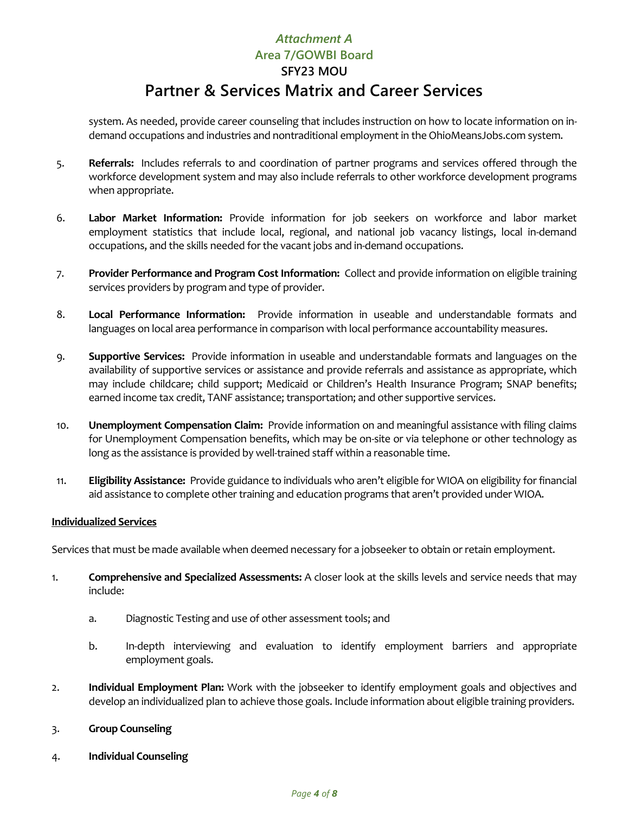system. As needed, provide career counseling that includes instruction on how to locate information on indemand occupations and industries and nontraditional employment in the OhioMeansJobs.com system.

- 5. **Referrals:** Includes referrals to and coordination of partner programs and services offered through the workforce development system and may also include referrals to other workforce development programs when appropriate.
- 6. **Labor Market Information:** Provide information for job seekers on workforce and labor market employment statistics that include local, regional, and national job vacancy listings, local in-demand occupations, and the skills needed for the vacant jobs and in-demand occupations.
- 7. **Provider Performance and Program Cost Information:** Collect and provide information on eligible training services providers by program and type of provider.
- 8. **Local Performance Information:** Provide information in useable and understandable formats and languages on local area performance in comparison with local performance accountability measures.
- 9. **Supportive Services:** Provide information in useable and understandable formats and languages on the availability of supportive services or assistance and provide referrals and assistance as appropriate, which may include childcare; child support; Medicaid or Children's Health Insurance Program; SNAP benefits; earned income tax credit, TANF assistance; transportation; and other supportive services.
- 10. **Unemployment Compensation Claim:** Provide information on and meaningful assistance with filing claims for Unemployment Compensation benefits, which may be on-site or via telephone or other technology as long as the assistance is provided by well-trained staff within a reasonable time.
- 11. **Eligibility Assistance:** Provide guidance to individuals who aren't eligible for WIOA on eligibility for financial aid assistance to complete other training and education programs that aren't provided under WIOA.

#### **Individualized Services**

Services that must be made available when deemed necessary for a jobseeker to obtain or retain employment.

- 1. **Comprehensive and Specialized Assessments:** A closer look at the skills levels and service needs that may include:
	- a. Diagnostic Testing and use of other assessment tools; and
	- b. In-depth interviewing and evaluation to identify employment barriers and appropriate employment goals.
- 2. **Individual Employment Plan:** Work with the jobseeker to identify employment goals and objectives and develop an individualized plan to achieve those goals. Include information about eligible training providers.
- 3. **Group Counseling**
- 4. **Individual Counseling**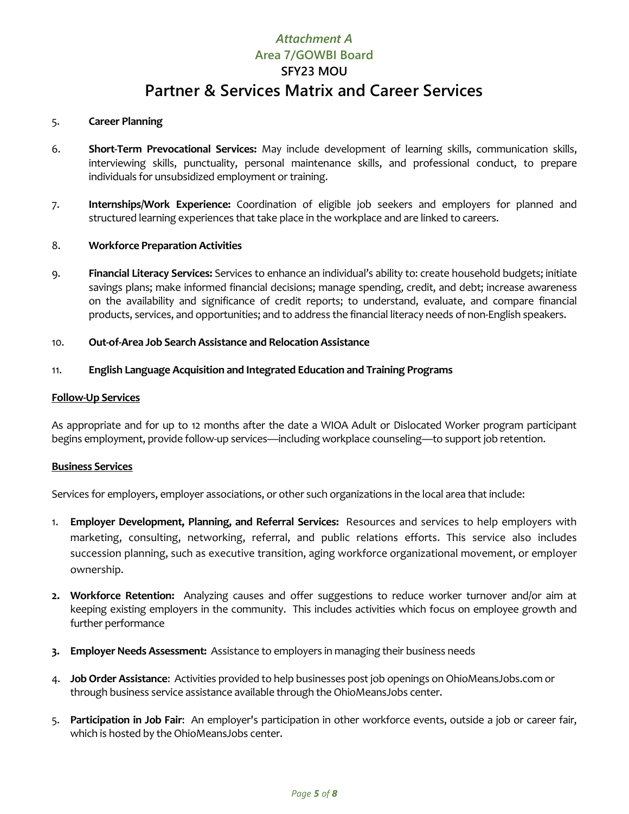#### 5. **Career Planning**

- 6. **Short-Term Prevocational Services:** May include development of learning skills, communication skills, interviewing skills, punctuality, personal maintenance skills, and professional conduct, to prepare individuals for unsubsidized employment or training.
- 7. **Internships/Work Experience:** Coordination of eligible job seekers and employers for planned and structured learning experiences that take place in the workplace and are linked to careers.

#### 8. **Workforce Preparation Activities**

9. **Financial Literacy Services:** Services to enhance an individual's ability to: create household budgets; initiate savings plans; make informed financial decisions; manage spending, credit, and debt; increase awareness on the availability and significance of credit reports; to understand, evaluate, and compare financial products, services, and opportunities; and to address the financial literacy needs of non-English speakers.

#### 10. **Out-of-Area Job Search Assistance and Relocation Assistance**

#### 11. **English Language Acquisition and Integrated Education and Training Programs**

#### **Follow-Up Services**

As appropriate and for up to 12 months after the date a WIOA Adult or Dislocated Worker program participant begins employment, provide follow-up services—including workplace counseling—to support job retention.

#### **Business Services**

Services for employers, employer associations, or other such organizations in the local area that include:

- 1. **Employer Development, Planning, and Referral Services:** Resources and services to help employers with marketing, consulting, networking, referral, and public relations efforts. This service also includes succession planning, such as executive transition, aging workforce organizational movement, or employer ownership.
- **2. Workforce Retention:** Analyzing causes and offer suggestions to reduce worker turnover and/or aim at keeping existing employers in the community. This includes activities which focus on employee growth and further performance
- **3. Employer Needs Assessment:** Assistance to employers in managing their business needs
- 4. **Job Order Assistance**: Activities provided to help businesses post job openings on OhioMeansJobs.com or through business service assistance available through the OhioMeansJobs center.
- 5. **Participation in Job Fair**: An employer's participation in other workforce events, outside a job or career fair, which is hosted by the OhioMeansJobs center.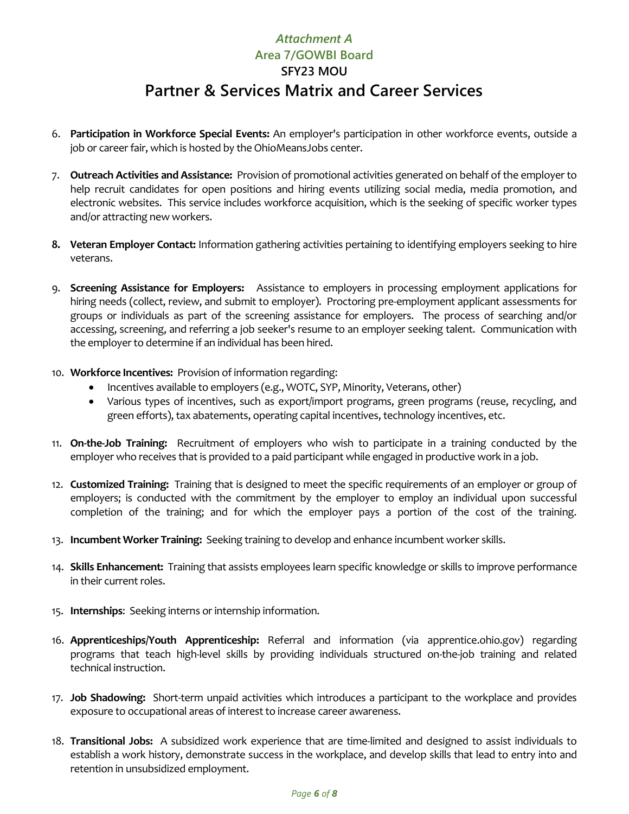- 6. **Participation in Workforce Special Events:** An employer's participation in other workforce events, outside a job or career fair, which is hosted by the OhioMeansJobs center.
- 7. **Outreach Activities and Assistance:** Provision of promotional activities generated on behalf of the employer to help recruit candidates for open positions and hiring events utilizing social media, media promotion, and electronic websites. This service includes workforce acquisition, which is the seeking of specific worker types and/or attracting new workers.
- **8. Veteran Employer Contact:** Information gathering activities pertaining to identifying employers seeking to hire veterans.
- 9. **Screening Assistance for Employers:** Assistance to employers in processing employment applications for hiring needs (collect, review, and submit to employer). Proctoring pre-employment applicant assessments for groups or individuals as part of the screening assistance for employers. The process of searching and/or accessing, screening, and referring a job seeker's resume to an employer seeking talent. Communication with the employer to determine if an individual has been hired.
- 10. **Workforce Incentives:** Provision of information regarding:
	- Incentives available to employers (e.g., WOTC, SYP, Minority, Veterans, other)
	- Various types of incentives, such as export/import programs, green programs (reuse, recycling, and green efforts), tax abatements, operating capital incentives, technology incentives, etc.
- 11. **On-the-Job Training:** Recruitment of employers who wish to participate in a training conducted by the employer who receives that is provided to a paid participant while engaged in productive work in a job.
- 12. **Customized Training:** Training that is designed to meet the specific requirements of an employer or group of employers; is conducted with the commitment by the employer to employ an individual upon successful completion of the training; and for which the employer pays a portion of the cost of the training.
- 13. **Incumbent Worker Training:** Seeking training to develop and enhance incumbent worker skills.
- 14. **Skills Enhancement:** Training that assists employees learn specific knowledge or skills to improve performance in their current roles.
- 15. **Internships**: Seeking interns or internship information.
- 16. **Apprenticeships/Youth Apprenticeship:** Referral and information (via apprentice.ohio.gov) regarding programs that teach high-level skills by providing individuals structured on-the-job training and related technical instruction.
- 17. **Job Shadowing:** Short-term unpaid activities which introduces a participant to the workplace and provides exposure to occupational areas of interest to increase career awareness.
- 18. **Transitional Jobs:** A subsidized work experience that are time-limited and designed to assist individuals to establish a work history, demonstrate success in the workplace, and develop skills that lead to entry into and retention in unsubsidized employment.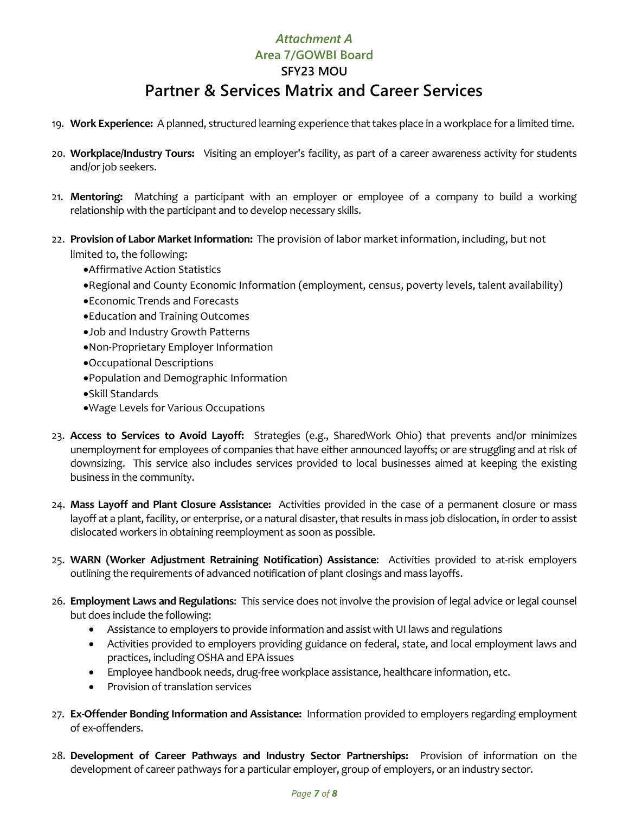- 19. **Work Experience:** A planned, structured learning experience that takes place in a workplace for a limited time.
- 20. **Workplace/Industry Tours:** Visiting an employer's facility, as part of a career awareness activity for students and/or job seekers.
- 21. **Mentoring:** Matching a participant with an employer or employee of a company to build a working relationship with the participant and to develop necessary skills.
- 22. **Provision of Labor Market Information:** The provision of labor market information, including, but not limited to, the following:
	- •Affirmative Action Statistics
	- •Regional and County Economic Information (employment, census, poverty levels, talent availability)
	- •Economic Trends and Forecasts
	- •Education and Training Outcomes
	- •Job and Industry Growth Patterns
	- •Non-Proprietary Employer Information
	- •Occupational Descriptions
	- •Population and Demographic Information
	- •Skill Standards
	- •Wage Levels for Various Occupations
- 23. **Access to Services to Avoid Layoff:** Strategies (e.g., SharedWork Ohio) that prevents and/or minimizes unemployment for employees of companies that have either announced layoffs; or are struggling and at risk of downsizing. This service also includes services provided to local businesses aimed at keeping the existing business in the community.
- 24. **Mass Layoff and Plant Closure Assistance:** Activities provided in the case of a permanent closure or mass layoff at a plant, facility, or enterprise, or a natural disaster, that results in mass job dislocation, in order to assist dislocated workers in obtaining reemployment as soon as possible.
- 25. **WARN (Worker Adjustment Retraining Notification) Assistance**: Activities provided to at-risk employers outlining the requirements of advanced notification of plant closings and mass layoffs.
- 26. **Employment Laws and Regulations**: This service does not involve the provision of legal advice or legal counsel but does include the following:
	- Assistance to employers to provide information and assist with UI laws and regulations
	- Activities provided to employers providing guidance on federal, state, and local employment laws and practices, including OSHA and EPA issues
	- Employee handbook needs, drug-free workplace assistance, healthcare information, etc.
	- Provision of translation services
- 27. **Ex-Offender Bonding Information and Assistance:** Information provided to employers regarding employment of ex-offenders.
- 28. **Development of Career Pathways and Industry Sector Partnerships:** Provision of information on the development of career pathways for a particular employer, group of employers, or an industry sector.